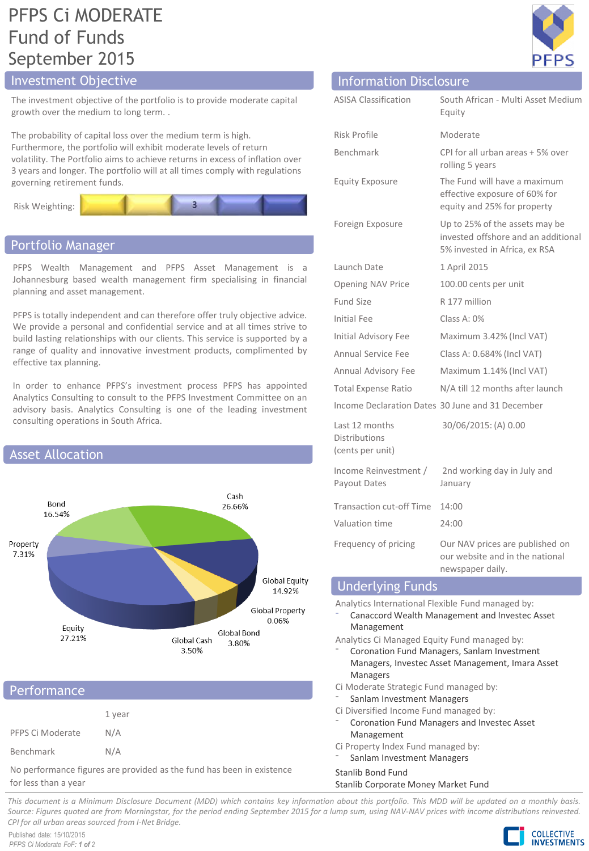# PFPS Ci MODERATE Fund of Funds September 2015

## Investment Objective Information Disclosure

The investment objective of the portfolio is to provide moderate capital growth over the medium to long term. .

The probability of capital loss over the medium term is high. Furthermore, the portfolio will exhibit moderate levels of return volatility. The Portfolio aims to achieve returns in excess of inflation over 3 years and longer. The portfolio will at all times comply with regulations governing retirement funds.



## Portfolio Manager

PFPS Wealth Management and PFPS Asset Management is a Johannesburg based wealth management firm specialising in financial planning and asset management.

PFPS is totally independent and can therefore offer truly objective advice. We provide a personal and confidential service and at all times strive to build lasting relationships with our clients. This service is supported by a range of quality and innovative investment products, complimented by effective tax planning.

In order to enhance PFPS's investment process PFPS has appointed Analytics Consulting to consult to the PFPS Investment Committee on an advisory basis. Analytics Consulting is one of the leading investment consulting operations in South Africa.



### **Performance**

|                  | 1 year |
|------------------|--------|
| PFPS Ci Moderate | N/A    |
| Benchmark        | N/A    |

No performance figures are provided as the fund has been in existence for less than a year

| ΞI<br>Ρ | ρ |
|---------|---|

| <u>MINIMULIUM DISCIUSULU</u>                               |                                                                                                        |
|------------------------------------------------------------|--------------------------------------------------------------------------------------------------------|
| <b>ASISA Classification</b>                                | South African - Multi Asset Medium<br>Equity                                                           |
| <b>Risk Profile</b>                                        | Moderate                                                                                               |
| Benchmark                                                  | CPI for all urban areas + 5% over<br>rolling 5 years                                                   |
| <b>Equity Exposure</b>                                     | The Fund will have a maximum<br>effective exposure of 60% for<br>equity and 25% for property           |
| Foreign Exposure                                           | Up to 25% of the assets may be<br>invested offshore and an additional<br>5% invested in Africa, ex RSA |
| Launch Date                                                | 1 April 2015                                                                                           |
| Opening NAV Price                                          | 100.00 cents per unit                                                                                  |
| Fund Size                                                  | R 177 million                                                                                          |
| <b>Initial Fee</b>                                         | Class A: 0%                                                                                            |
| Initial Advisory Fee                                       | Maximum 3.42% (Incl VAT)                                                                               |
| <b>Annual Service Fee</b>                                  | Class A: 0.684% (Incl VAT)                                                                             |
| Annual Advisory Fee                                        | Maximum 1.14% (Incl VAT)                                                                               |
| <b>Total Expense Ratio</b>                                 | N/A till 12 months after launch                                                                        |
|                                                            | Income Declaration Dates 30 June and 31 December                                                       |
| Last 12 months<br><b>Distributions</b><br>(cents per unit) | 30/06/2015: (A) 0.00                                                                                   |
| Income Reinvestment /<br>Payout Dates                      | 2nd working day in July and<br>January                                                                 |
| <b>Transaction cut-off Time</b>                            | 14:00                                                                                                  |
| Valuation time                                             | 24:00                                                                                                  |
| Frequency of pricing                                       | Our NAV prices are published on<br>our website and in the national<br>newspaper daily.                 |
| <b>Indorlying Funds</b>                                    |                                                                                                        |

## Underlying Funds

Analytics International Flexible Fund managed by:

⁻ Canaccord Wealth Management and Investec Asset Management

Analytics Ci Managed Equity Fund managed by:

- ⁻ Coronation Fund Managers, Sanlam Investment Managers, Investec Asset Management, Imara Asset Managers
- Ci Moderate Strategic Fund managed by:
- Sanlam Investment Managers
- Ci Diversified Income Fund managed by:
- ⁻ Coronation Fund Managers and Investec Asset Management
- Ci Property Index Fund managed by:
- Sanlam Investment Managers

### Stanlib Bond Fund

#### Stanlib Corporate Money Market Fund

This document is a Minimum Disclosure Document (MDD) which contains key information about this portfolio. This MDD will be updated on a monthly basis. Source: Figures guoted are from Morningstar, for the period ending September 2015 for a lump sum, using NAV-NAV prices with income distributions reinvested. *CPI for all urban areas sourced from I-Net Bridge.*

Published date: 15/10/2015 *PFPS Ci Moderate FoF: 1 of 2*